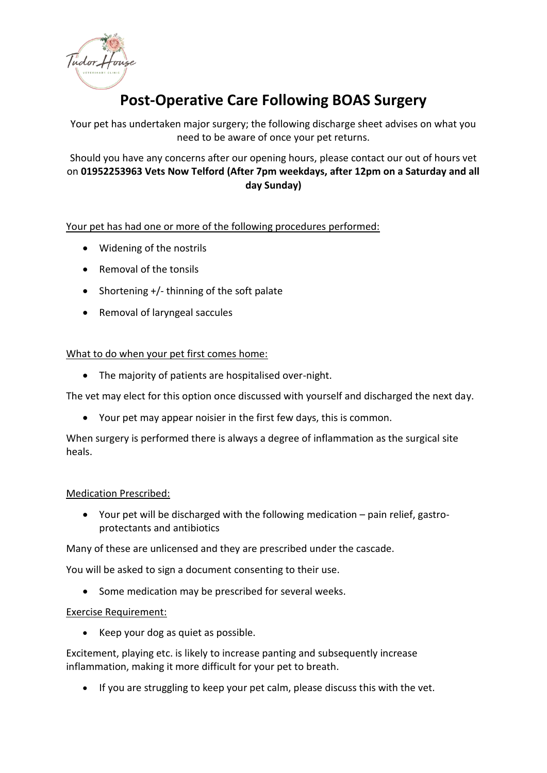

# **Post-Operative Care Following BOAS Surgery**

Your pet has undertaken major surgery; the following discharge sheet advises on what you need to be aware of once your pet returns.

## Should you have any concerns after our opening hours, please contact our out of hours vet on **01952253963 Vets Now Telford (After 7pm weekdays, after 12pm on a Saturday and all day Sunday)**

## Your pet has had one or more of the following procedures performed:

- Widening of the nostrils
- Removal of the tonsils
- Shortening +/- thinning of the soft palate
- Removal of laryngeal saccules

## What to do when your pet first comes home:

• The majority of patients are hospitalised over-night.

The vet may elect for this option once discussed with yourself and discharged the next day.

• Your pet may appear noisier in the first few days, this is common.

When surgery is performed there is always a degree of inflammation as the surgical site heals.

#### Medication Prescribed:

• Your pet will be discharged with the following medication – pain relief, gastroprotectants and antibiotics

Many of these are unlicensed and they are prescribed under the cascade.

You will be asked to sign a document consenting to their use.

• Some medication may be prescribed for several weeks.

#### Exercise Requirement:

• Keep your dog as quiet as possible.

Excitement, playing etc. is likely to increase panting and subsequently increase inflammation, making it more difficult for your pet to breath.

• If you are struggling to keep your pet calm, please discuss this with the vet.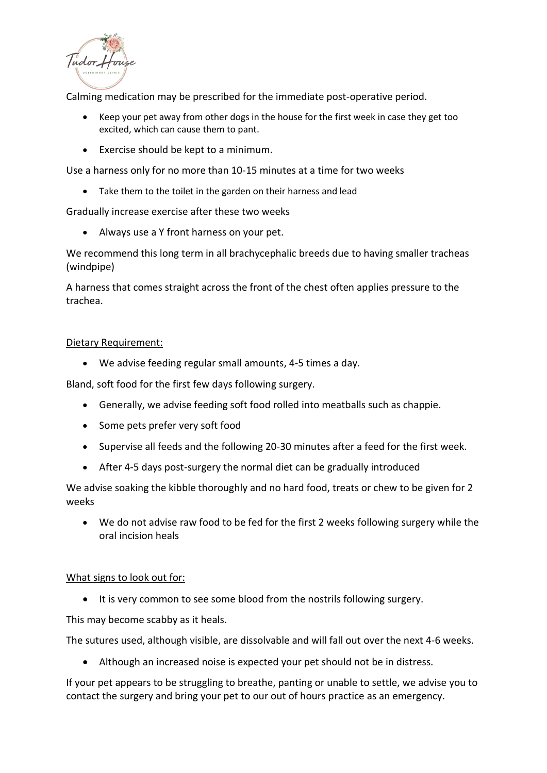

Calming medication may be prescribed for the immediate post-operative period.

- Keep your pet away from other dogs in the house for the first week in case they get too excited, which can cause them to pant.
- Exercise should be kept to a minimum.

Use a harness only for no more than 10-15 minutes at a time for two weeks

• Take them to the toilet in the garden on their harness and lead

Gradually increase exercise after these two weeks

• Always use a Y front harness on your pet.

We recommend this long term in all brachycephalic breeds due to having smaller tracheas (windpipe)

A harness that comes straight across the front of the chest often applies pressure to the trachea.

#### Dietary Requirement:

• We advise feeding regular small amounts, 4-5 times a day.

Bland, soft food for the first few days following surgery.

- Generally, we advise feeding soft food rolled into meatballs such as chappie.
- Some pets prefer very soft food
- Supervise all feeds and the following 20-30 minutes after a feed for the first week.
- After 4-5 days post-surgery the normal diet can be gradually introduced

We advise soaking the kibble thoroughly and no hard food, treats or chew to be given for 2 weeks

• We do not advise raw food to be fed for the first 2 weeks following surgery while the oral incision heals

#### What signs to look out for:

• It is very common to see some blood from the nostrils following surgery.

This may become scabby as it heals.

The sutures used, although visible, are dissolvable and will fall out over the next 4-6 weeks.

• Although an increased noise is expected your pet should not be in distress.

If your pet appears to be struggling to breathe, panting or unable to settle, we advise you to contact the surgery and bring your pet to our out of hours practice as an emergency.